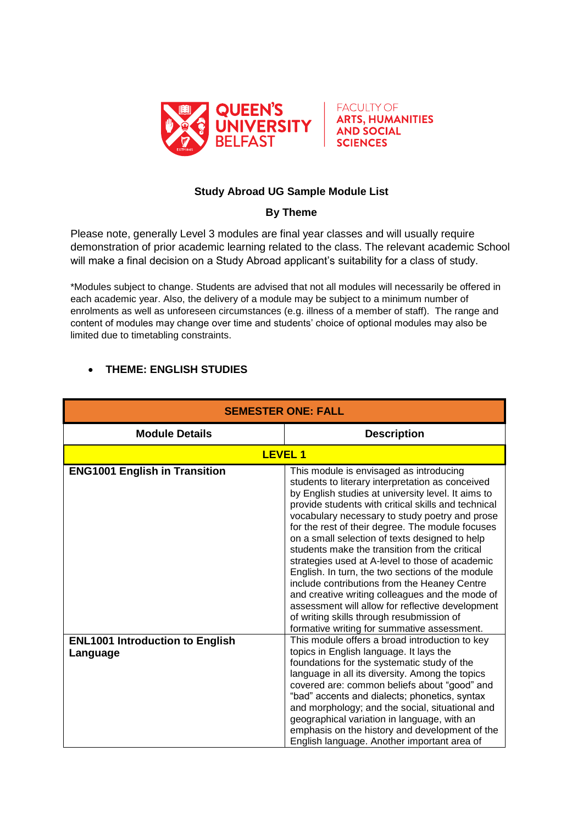



## **Study Abroad UG Sample Module List**

## **By Theme**

Please note, generally Level 3 modules are final year classes and will usually require demonstration of prior academic learning related to the class. The relevant academic School will make a final decision on a Study Abroad applicant's suitability for a class of study.

\*Modules subject to change. Students are advised that not all modules will necessarily be offered in each academic year. Also, the delivery of a module may be subject to a minimum number of enrolments as well as unforeseen circumstances (e.g. illness of a member of staff). The range and content of modules may change over time and students' choice of optional modules may also be limited due to timetabling constraints.

## **THEME: ENGLISH STUDIES**

| <b>SEMESTER ONE: FALL</b>                          |                                                                                                                                                                                                                                                                                                                                                                                                                                                                                                                                                                                                                                                                                                                                                                              |
|----------------------------------------------------|------------------------------------------------------------------------------------------------------------------------------------------------------------------------------------------------------------------------------------------------------------------------------------------------------------------------------------------------------------------------------------------------------------------------------------------------------------------------------------------------------------------------------------------------------------------------------------------------------------------------------------------------------------------------------------------------------------------------------------------------------------------------------|
| <b>Module Details</b>                              | <b>Description</b>                                                                                                                                                                                                                                                                                                                                                                                                                                                                                                                                                                                                                                                                                                                                                           |
|                                                    | <b>LEVEL1</b>                                                                                                                                                                                                                                                                                                                                                                                                                                                                                                                                                                                                                                                                                                                                                                |
| <b>ENG1001 English in Transition</b>               | This module is envisaged as introducing<br>students to literary interpretation as conceived<br>by English studies at university level. It aims to<br>provide students with critical skills and technical<br>vocabulary necessary to study poetry and prose<br>for the rest of their degree. The module focuses<br>on a small selection of texts designed to help<br>students make the transition from the critical<br>strategies used at A-level to those of academic<br>English. In turn, the two sections of the module<br>include contributions from the Heaney Centre<br>and creative writing colleagues and the mode of<br>assessment will allow for reflective development<br>of writing skills through resubmission of<br>formative writing for summative assessment. |
| <b>ENL1001 Introduction to English</b><br>Language | This module offers a broad introduction to key<br>topics in English language. It lays the<br>foundations for the systematic study of the<br>language in all its diversity. Among the topics<br>covered are: common beliefs about "good" and<br>"bad" accents and dialects; phonetics, syntax<br>and morphology; and the social, situational and<br>geographical variation in language, with an<br>emphasis on the history and development of the<br>English language. Another important area of                                                                                                                                                                                                                                                                              |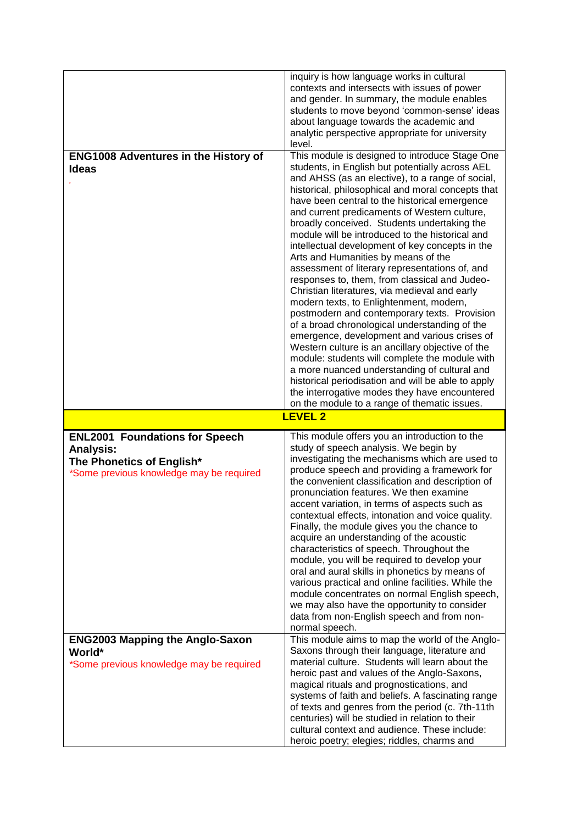|                                                                                                                                    | inquiry is how language works in cultural<br>contexts and intersects with issues of power<br>and gender. In summary, the module enables<br>students to move beyond 'common-sense' ideas<br>about language towards the academic and<br>analytic perspective appropriate for university<br>level.                                                                                                                                                                                                                                                                                                                                                                                                                                                                                                                                                                                                                                                                                                                                                                                                                                                                      |
|------------------------------------------------------------------------------------------------------------------------------------|----------------------------------------------------------------------------------------------------------------------------------------------------------------------------------------------------------------------------------------------------------------------------------------------------------------------------------------------------------------------------------------------------------------------------------------------------------------------------------------------------------------------------------------------------------------------------------------------------------------------------------------------------------------------------------------------------------------------------------------------------------------------------------------------------------------------------------------------------------------------------------------------------------------------------------------------------------------------------------------------------------------------------------------------------------------------------------------------------------------------------------------------------------------------|
| <b>ENG1008 Adventures in the History of</b><br><b>Ideas</b>                                                                        | This module is designed to introduce Stage One<br>students, in English but potentially across AEL<br>and AHSS (as an elective), to a range of social,<br>historical, philosophical and moral concepts that<br>have been central to the historical emergence<br>and current predicaments of Western culture,<br>broadly conceived. Students undertaking the<br>module will be introduced to the historical and<br>intellectual development of key concepts in the<br>Arts and Humanities by means of the<br>assessment of literary representations of, and<br>responses to, them, from classical and Judeo-<br>Christian literatures, via medieval and early<br>modern texts, to Enlightenment, modern,<br>postmodern and contemporary texts. Provision<br>of a broad chronological understanding of the<br>emergence, development and various crises of<br>Western culture is an ancillary objective of the<br>module: students will complete the module with<br>a more nuanced understanding of cultural and<br>historical periodisation and will be able to apply<br>the interrogative modes they have encountered<br>on the module to a range of thematic issues. |
|                                                                                                                                    | <b>LEVEL 2</b>                                                                                                                                                                                                                                                                                                                                                                                                                                                                                                                                                                                                                                                                                                                                                                                                                                                                                                                                                                                                                                                                                                                                                       |
| <b>ENL2001 Foundations for Speech</b><br><b>Analysis:</b><br>The Phonetics of English*<br>*Some previous knowledge may be required | This module offers you an introduction to the<br>study of speech analysis. We begin by<br>investigating the mechanisms which are used to<br>produce speech and providing a framework for<br>the convenient classification and description of<br>pronunciation features. We then examine<br>accent variation, in terms of aspects such as<br>contextual effects, intonation and voice quality.<br>Finally, the module gives you the chance to<br>acquire an understanding of the acoustic                                                                                                                                                                                                                                                                                                                                                                                                                                                                                                                                                                                                                                                                             |
| <b>ENG2003 Mapping the Anglo-Saxon</b>                                                                                             | characteristics of speech. Throughout the<br>module, you will be required to develop your<br>oral and aural skills in phonetics by means of<br>various practical and online facilities. While the<br>module concentrates on normal English speech,<br>we may also have the opportunity to consider<br>data from non-English speech and from non-<br>normal speech.<br>This module aims to map the world of the Anglo-                                                                                                                                                                                                                                                                                                                                                                                                                                                                                                                                                                                                                                                                                                                                                |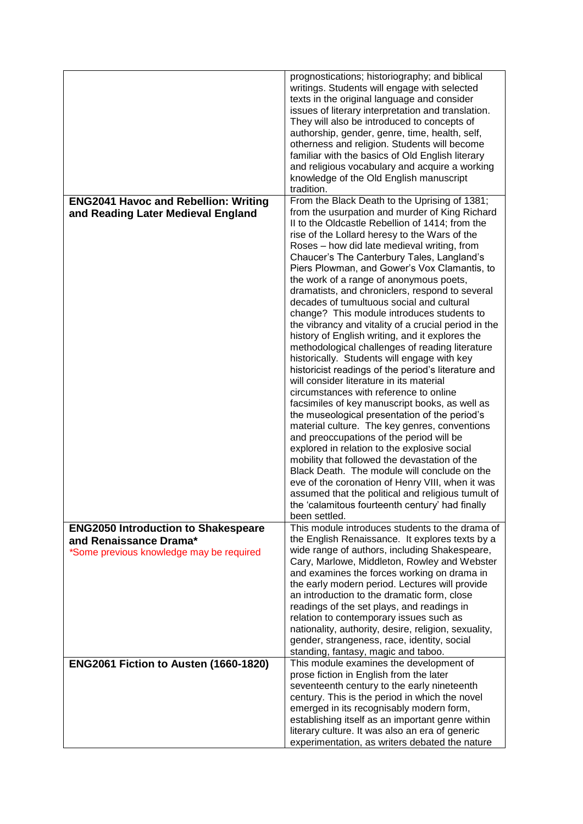|                                                                      | prognostications; historiography; and biblical<br>writings. Students will engage with selected<br>texts in the original language and consider<br>issues of literary interpretation and translation.<br>They will also be introduced to concepts of<br>authorship, gender, genre, time, health, self,<br>otherness and religion. Students will become<br>familiar with the basics of Old English literary<br>and religious vocabulary and acquire a working<br>knowledge of the Old English manuscript<br>tradition. |
|----------------------------------------------------------------------|---------------------------------------------------------------------------------------------------------------------------------------------------------------------------------------------------------------------------------------------------------------------------------------------------------------------------------------------------------------------------------------------------------------------------------------------------------------------------------------------------------------------|
| <b>ENG2041 Havoc and Rebellion: Writing</b>                          | From the Black Death to the Uprising of 1381;<br>from the usurpation and murder of King Richard                                                                                                                                                                                                                                                                                                                                                                                                                     |
| and Reading Later Medieval England                                   | II to the Oldcastle Rebellion of 1414; from the                                                                                                                                                                                                                                                                                                                                                                                                                                                                     |
|                                                                      | rise of the Lollard heresy to the Wars of the<br>Roses - how did late medieval writing, from                                                                                                                                                                                                                                                                                                                                                                                                                        |
|                                                                      | Chaucer's The Canterbury Tales, Langland's                                                                                                                                                                                                                                                                                                                                                                                                                                                                          |
|                                                                      | Piers Plowman, and Gower's Vox Clamantis, to                                                                                                                                                                                                                                                                                                                                                                                                                                                                        |
|                                                                      | the work of a range of anonymous poets,<br>dramatists, and chroniclers, respond to several                                                                                                                                                                                                                                                                                                                                                                                                                          |
|                                                                      | decades of tumultuous social and cultural                                                                                                                                                                                                                                                                                                                                                                                                                                                                           |
|                                                                      | change? This module introduces students to<br>the vibrancy and vitality of a crucial period in the                                                                                                                                                                                                                                                                                                                                                                                                                  |
|                                                                      | history of English writing, and it explores the                                                                                                                                                                                                                                                                                                                                                                                                                                                                     |
|                                                                      | methodological challenges of reading literature<br>historically. Students will engage with key                                                                                                                                                                                                                                                                                                                                                                                                                      |
|                                                                      | historicist readings of the period's literature and                                                                                                                                                                                                                                                                                                                                                                                                                                                                 |
|                                                                      | will consider literature in its material<br>circumstances with reference to online                                                                                                                                                                                                                                                                                                                                                                                                                                  |
|                                                                      | facsimiles of key manuscript books, as well as                                                                                                                                                                                                                                                                                                                                                                                                                                                                      |
|                                                                      | the museological presentation of the period's<br>material culture. The key genres, conventions                                                                                                                                                                                                                                                                                                                                                                                                                      |
|                                                                      | and preoccupations of the period will be                                                                                                                                                                                                                                                                                                                                                                                                                                                                            |
|                                                                      | explored in relation to the explosive social<br>mobility that followed the devastation of the                                                                                                                                                                                                                                                                                                                                                                                                                       |
|                                                                      | Black Death. The module will conclude on the                                                                                                                                                                                                                                                                                                                                                                                                                                                                        |
|                                                                      | eve of the coronation of Henry VIII, when it was                                                                                                                                                                                                                                                                                                                                                                                                                                                                    |
|                                                                      | assumed that the political and religious tumult of<br>the 'calamitous fourteenth century' had finally                                                                                                                                                                                                                                                                                                                                                                                                               |
|                                                                      | been settled.                                                                                                                                                                                                                                                                                                                                                                                                                                                                                                       |
| <b>ENG2050 Introduction to Shakespeare</b><br>and Renaissance Drama* | This module introduces students to the drama of<br>the English Renaissance. It explores texts by a                                                                                                                                                                                                                                                                                                                                                                                                                  |
| *Some previous knowledge may be required                             | wide range of authors, including Shakespeare,                                                                                                                                                                                                                                                                                                                                                                                                                                                                       |
|                                                                      | Cary, Marlowe, Middleton, Rowley and Webster                                                                                                                                                                                                                                                                                                                                                                                                                                                                        |
|                                                                      | and examines the forces working on drama in<br>the early modern period. Lectures will provide                                                                                                                                                                                                                                                                                                                                                                                                                       |
|                                                                      | an introduction to the dramatic form, close                                                                                                                                                                                                                                                                                                                                                                                                                                                                         |
|                                                                      | readings of the set plays, and readings in<br>relation to contemporary issues such as                                                                                                                                                                                                                                                                                                                                                                                                                               |
|                                                                      | nationality, authority, desire, religion, sexuality,                                                                                                                                                                                                                                                                                                                                                                                                                                                                |
|                                                                      | gender, strangeness, race, identity, social<br>standing, fantasy, magic and taboo.                                                                                                                                                                                                                                                                                                                                                                                                                                  |
| ENG2061 Fiction to Austen (1660-1820)                                | This module examines the development of                                                                                                                                                                                                                                                                                                                                                                                                                                                                             |
|                                                                      | prose fiction in English from the later<br>seventeenth century to the early nineteenth                                                                                                                                                                                                                                                                                                                                                                                                                              |
|                                                                      | century. This is the period in which the novel                                                                                                                                                                                                                                                                                                                                                                                                                                                                      |
|                                                                      | emerged in its recognisably modern form,                                                                                                                                                                                                                                                                                                                                                                                                                                                                            |
|                                                                      | establishing itself as an important genre within<br>literary culture. It was also an era of generic                                                                                                                                                                                                                                                                                                                                                                                                                 |
|                                                                      | experimentation, as writers debated the nature                                                                                                                                                                                                                                                                                                                                                                                                                                                                      |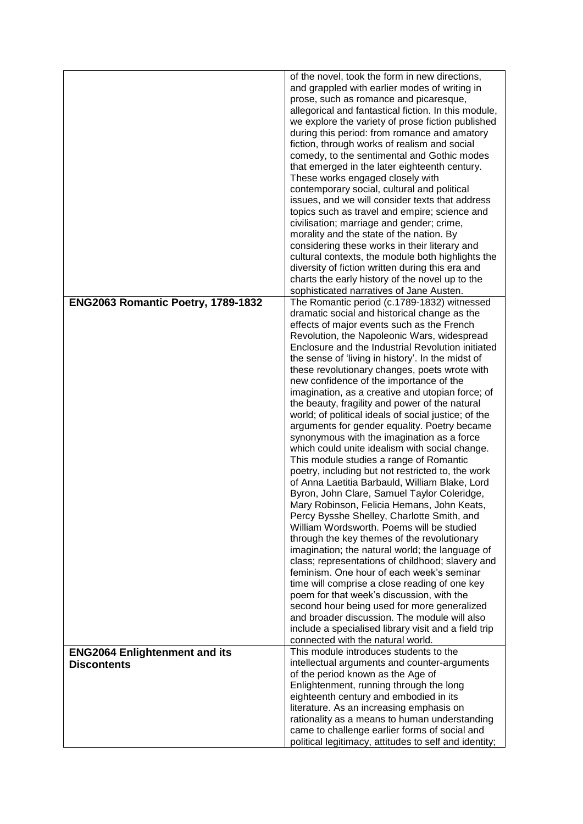|                                      | of the novel, took the form in new directions,                                                        |
|--------------------------------------|-------------------------------------------------------------------------------------------------------|
|                                      | and grappled with earlier modes of writing in                                                         |
|                                      | prose, such as romance and picaresque,<br>allegorical and fantastical fiction. In this module,        |
|                                      | we explore the variety of prose fiction published                                                     |
|                                      | during this period: from romance and amatory                                                          |
|                                      | fiction, through works of realism and social                                                          |
|                                      | comedy, to the sentimental and Gothic modes                                                           |
|                                      | that emerged in the later eighteenth century.                                                         |
|                                      | These works engaged closely with<br>contemporary social, cultural and political                       |
|                                      | issues, and we will consider texts that address                                                       |
|                                      | topics such as travel and empire; science and                                                         |
|                                      | civilisation; marriage and gender; crime,                                                             |
|                                      | morality and the state of the nation. By                                                              |
|                                      | considering these works in their literary and                                                         |
|                                      | cultural contexts, the module both highlights the<br>diversity of fiction written during this era and |
|                                      | charts the early history of the novel up to the                                                       |
|                                      | sophisticated narratives of Jane Austen.                                                              |
| ENG2063 Romantic Poetry, 1789-1832   | The Romantic period (c.1789-1832) witnessed                                                           |
|                                      | dramatic social and historical change as the                                                          |
|                                      | effects of major events such as the French<br>Revolution, the Napoleonic Wars, widespread             |
|                                      | Enclosure and the Industrial Revolution initiated                                                     |
|                                      | the sense of 'living in history'. In the midst of                                                     |
|                                      | these revolutionary changes, poets wrote with                                                         |
|                                      | new confidence of the importance of the                                                               |
|                                      | imagination, as a creative and utopian force; of<br>the beauty, fragility and power of the natural    |
|                                      | world; of political ideals of social justice; of the                                                  |
|                                      | arguments for gender equality. Poetry became                                                          |
|                                      | synonymous with the imagination as a force                                                            |
|                                      | which could unite idealism with social change.                                                        |
|                                      | This module studies a range of Romantic<br>poetry, including but not restricted to, the work          |
|                                      | of Anna Laetitia Barbauld, William Blake, Lord                                                        |
|                                      | Byron, John Clare, Samuel Taylor Coleridge,                                                           |
|                                      | Mary Robinson, Felicia Hemans, John Keats,                                                            |
|                                      | Percy Bysshe Shelley, Charlotte Smith, and                                                            |
|                                      | William Wordsworth. Poems will be studied                                                             |
|                                      | through the key themes of the revolutionary<br>imagination; the natural world; the language of        |
|                                      | class; representations of childhood; slavery and                                                      |
|                                      | feminism. One hour of each week's seminar                                                             |
|                                      | time will comprise a close reading of one key                                                         |
|                                      | poem for that week's discussion, with the                                                             |
|                                      | second hour being used for more generalized<br>and broader discussion. The module will also           |
|                                      | include a specialised library visit and a field trip                                                  |
|                                      | connected with the natural world.                                                                     |
| <b>ENG2064 Enlightenment and its</b> | This module introduces students to the                                                                |
| <b>Discontents</b>                   | intellectual arguments and counter-arguments                                                          |
|                                      | of the period known as the Age of<br>Enlightenment, running through the long                          |
|                                      | eighteenth century and embodied in its                                                                |
|                                      | literature. As an increasing emphasis on                                                              |
|                                      | rationality as a means to human understanding                                                         |
|                                      | came to challenge earlier forms of social and                                                         |
|                                      | political legitimacy, attitudes to self and identity;                                                 |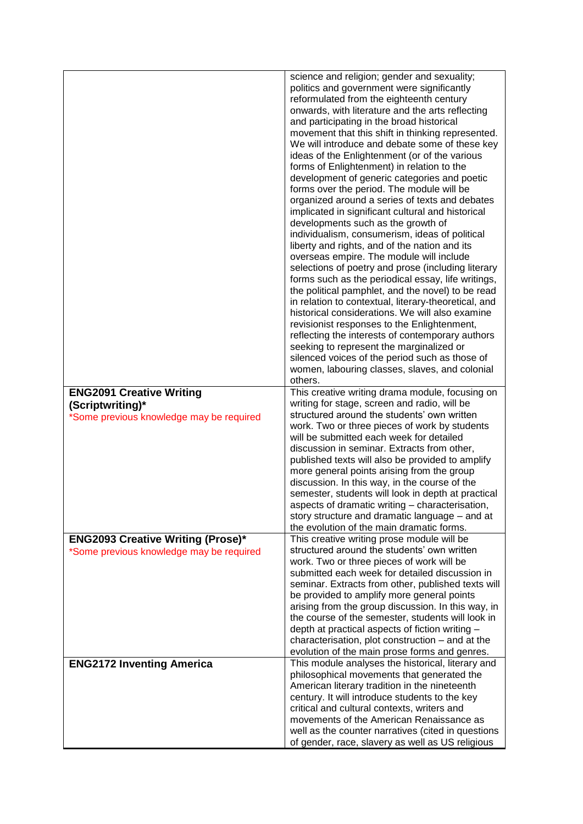|                                                              | science and religion; gender and sexuality;<br>politics and government were significantly<br>reformulated from the eighteenth century<br>onwards, with literature and the arts reflecting<br>and participating in the broad historical<br>movement that this shift in thinking represented.<br>We will introduce and debate some of these key<br>ideas of the Enlightenment (or of the various<br>forms of Enlightenment) in relation to the<br>development of generic categories and poetic<br>forms over the period. The module will be<br>organized around a series of texts and debates<br>implicated in significant cultural and historical<br>developments such as the growth of<br>individualism, consumerism, ideas of political<br>liberty and rights, and of the nation and its<br>overseas empire. The module will include<br>selections of poetry and prose (including literary<br>forms such as the periodical essay, life writings,<br>the political pamphlet, and the novel) to be read<br>in relation to contextual, literary-theoretical, and<br>historical considerations. We will also examine<br>revisionist responses to the Enlightenment,<br>reflecting the interests of contemporary authors<br>seeking to represent the marginalized or<br>silenced voices of the period such as those of<br>women, labouring classes, slaves, and colonial<br>others. |
|--------------------------------------------------------------|---------------------------------------------------------------------------------------------------------------------------------------------------------------------------------------------------------------------------------------------------------------------------------------------------------------------------------------------------------------------------------------------------------------------------------------------------------------------------------------------------------------------------------------------------------------------------------------------------------------------------------------------------------------------------------------------------------------------------------------------------------------------------------------------------------------------------------------------------------------------------------------------------------------------------------------------------------------------------------------------------------------------------------------------------------------------------------------------------------------------------------------------------------------------------------------------------------------------------------------------------------------------------------------------------------------------------------------------------------------------------------|
| <b>ENG2091 Creative Writing</b>                              | This creative writing drama module, focusing on                                                                                                                                                                                                                                                                                                                                                                                                                                                                                                                                                                                                                                                                                                                                                                                                                                                                                                                                                                                                                                                                                                                                                                                                                                                                                                                                 |
| (Scriptwriting)*<br>*Some previous knowledge may be required | writing for stage, screen and radio, will be<br>structured around the students' own written                                                                                                                                                                                                                                                                                                                                                                                                                                                                                                                                                                                                                                                                                                                                                                                                                                                                                                                                                                                                                                                                                                                                                                                                                                                                                     |
|                                                              | work. Two or three pieces of work by students<br>will be submitted each week for detailed                                                                                                                                                                                                                                                                                                                                                                                                                                                                                                                                                                                                                                                                                                                                                                                                                                                                                                                                                                                                                                                                                                                                                                                                                                                                                       |
|                                                              | discussion in seminar. Extracts from other,                                                                                                                                                                                                                                                                                                                                                                                                                                                                                                                                                                                                                                                                                                                                                                                                                                                                                                                                                                                                                                                                                                                                                                                                                                                                                                                                     |
|                                                              | published texts will also be provided to amplify<br>more general points arising from the group                                                                                                                                                                                                                                                                                                                                                                                                                                                                                                                                                                                                                                                                                                                                                                                                                                                                                                                                                                                                                                                                                                                                                                                                                                                                                  |
|                                                              | discussion. In this way, in the course of the                                                                                                                                                                                                                                                                                                                                                                                                                                                                                                                                                                                                                                                                                                                                                                                                                                                                                                                                                                                                                                                                                                                                                                                                                                                                                                                                   |
|                                                              | semester, students will look in depth at practical<br>aspects of dramatic writing - characterisation                                                                                                                                                                                                                                                                                                                                                                                                                                                                                                                                                                                                                                                                                                                                                                                                                                                                                                                                                                                                                                                                                                                                                                                                                                                                            |
|                                                              | story structure and dramatic language – and at                                                                                                                                                                                                                                                                                                                                                                                                                                                                                                                                                                                                                                                                                                                                                                                                                                                                                                                                                                                                                                                                                                                                                                                                                                                                                                                                  |
| <b>ENG2093 Creative Writing (Prose)*</b>                     | the evolution of the main dramatic forms.<br>This creative writing prose module will be                                                                                                                                                                                                                                                                                                                                                                                                                                                                                                                                                                                                                                                                                                                                                                                                                                                                                                                                                                                                                                                                                                                                                                                                                                                                                         |
| *Some previous knowledge may be required                     | structured around the students' own written                                                                                                                                                                                                                                                                                                                                                                                                                                                                                                                                                                                                                                                                                                                                                                                                                                                                                                                                                                                                                                                                                                                                                                                                                                                                                                                                     |
|                                                              | work. Two or three pieces of work will be<br>submitted each week for detailed discussion in                                                                                                                                                                                                                                                                                                                                                                                                                                                                                                                                                                                                                                                                                                                                                                                                                                                                                                                                                                                                                                                                                                                                                                                                                                                                                     |
|                                                              | seminar. Extracts from other, published texts will                                                                                                                                                                                                                                                                                                                                                                                                                                                                                                                                                                                                                                                                                                                                                                                                                                                                                                                                                                                                                                                                                                                                                                                                                                                                                                                              |
|                                                              | be provided to amplify more general points<br>arising from the group discussion. In this way, in                                                                                                                                                                                                                                                                                                                                                                                                                                                                                                                                                                                                                                                                                                                                                                                                                                                                                                                                                                                                                                                                                                                                                                                                                                                                                |
|                                                              | the course of the semester, students will look in                                                                                                                                                                                                                                                                                                                                                                                                                                                                                                                                                                                                                                                                                                                                                                                                                                                                                                                                                                                                                                                                                                                                                                                                                                                                                                                               |
|                                                              | depth at practical aspects of fiction writing -<br>characterisation, plot construction – and at the                                                                                                                                                                                                                                                                                                                                                                                                                                                                                                                                                                                                                                                                                                                                                                                                                                                                                                                                                                                                                                                                                                                                                                                                                                                                             |
|                                                              | evolution of the main prose forms and genres.                                                                                                                                                                                                                                                                                                                                                                                                                                                                                                                                                                                                                                                                                                                                                                                                                                                                                                                                                                                                                                                                                                                                                                                                                                                                                                                                   |
| <b>ENG2172 Inventing America</b>                             | This module analyses the historical, literary and<br>philosophical movements that generated the                                                                                                                                                                                                                                                                                                                                                                                                                                                                                                                                                                                                                                                                                                                                                                                                                                                                                                                                                                                                                                                                                                                                                                                                                                                                                 |
|                                                              | American literary tradition in the nineteenth                                                                                                                                                                                                                                                                                                                                                                                                                                                                                                                                                                                                                                                                                                                                                                                                                                                                                                                                                                                                                                                                                                                                                                                                                                                                                                                                   |
|                                                              | century. It will introduce students to the key<br>critical and cultural contexts, writers and                                                                                                                                                                                                                                                                                                                                                                                                                                                                                                                                                                                                                                                                                                                                                                                                                                                                                                                                                                                                                                                                                                                                                                                                                                                                                   |
|                                                              | movements of the American Renaissance as                                                                                                                                                                                                                                                                                                                                                                                                                                                                                                                                                                                                                                                                                                                                                                                                                                                                                                                                                                                                                                                                                                                                                                                                                                                                                                                                        |
|                                                              | well as the counter narratives (cited in questions<br>of gender, race, slavery as well as US religious                                                                                                                                                                                                                                                                                                                                                                                                                                                                                                                                                                                                                                                                                                                                                                                                                                                                                                                                                                                                                                                                                                                                                                                                                                                                          |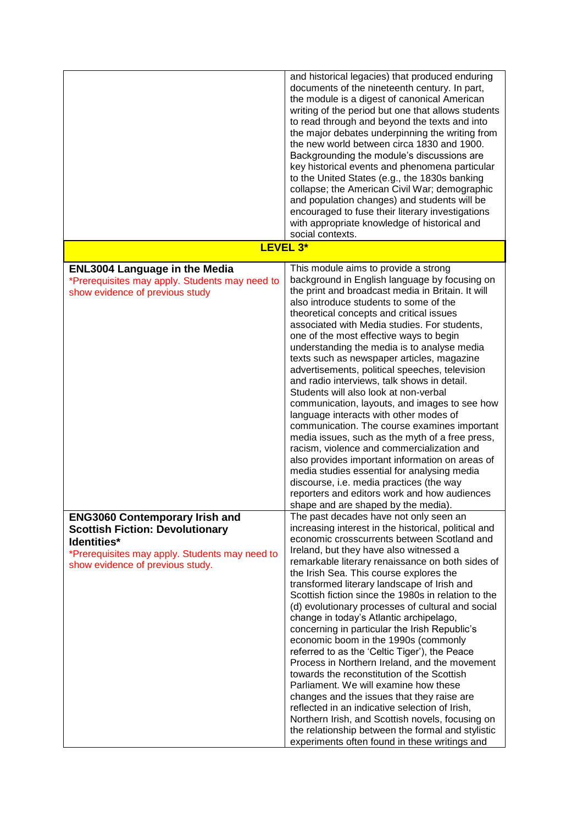|                                                                                                                                                                                      | and historical legacies) that produced enduring<br>documents of the nineteenth century. In part,<br>the module is a digest of canonical American<br>writing of the period but one that allows students<br>to read through and beyond the texts and into<br>the major debates underpinning the writing from<br>the new world between circa 1830 and 1900.                                                                                                                                                                                                                                                                                                                                                                                                                                                                                                                                                                                                                                                                                                                         |
|--------------------------------------------------------------------------------------------------------------------------------------------------------------------------------------|----------------------------------------------------------------------------------------------------------------------------------------------------------------------------------------------------------------------------------------------------------------------------------------------------------------------------------------------------------------------------------------------------------------------------------------------------------------------------------------------------------------------------------------------------------------------------------------------------------------------------------------------------------------------------------------------------------------------------------------------------------------------------------------------------------------------------------------------------------------------------------------------------------------------------------------------------------------------------------------------------------------------------------------------------------------------------------|
|                                                                                                                                                                                      | Backgrounding the module's discussions are<br>key historical events and phenomena particular<br>to the United States (e.g., the 1830s banking<br>collapse; the American Civil War; demographic<br>and population changes) and students will be                                                                                                                                                                                                                                                                                                                                                                                                                                                                                                                                                                                                                                                                                                                                                                                                                                   |
|                                                                                                                                                                                      | encouraged to fuse their literary investigations<br>with appropriate knowledge of historical and<br>social contexts.                                                                                                                                                                                                                                                                                                                                                                                                                                                                                                                                                                                                                                                                                                                                                                                                                                                                                                                                                             |
|                                                                                                                                                                                      | LEVEL 3*                                                                                                                                                                                                                                                                                                                                                                                                                                                                                                                                                                                                                                                                                                                                                                                                                                                                                                                                                                                                                                                                         |
| <b>ENL3004 Language in the Media</b><br>*Prerequisites may apply. Students may need to<br>show evidence of previous study                                                            | This module aims to provide a strong<br>background in English language by focusing on<br>the print and broadcast media in Britain. It will<br>also introduce students to some of the<br>theoretical concepts and critical issues<br>associated with Media studies. For students,<br>one of the most effective ways to begin<br>understanding the media is to analyse media<br>texts such as newspaper articles, magazine<br>advertisements, political speeches, television<br>and radio interviews, talk shows in detail.<br>Students will also look at non-verbal<br>communication, layouts, and images to see how<br>language interacts with other modes of<br>communication. The course examines important<br>media issues, such as the myth of a free press,<br>racism, violence and commercialization and<br>also provides important information on areas of<br>media studies essential for analysing media<br>discourse, i.e. media practices (the way<br>reporters and editors work and how audiences                                                                     |
| <b>ENG3060 Contemporary Irish and</b><br><b>Scottish Fiction: Devolutionary</b><br>Identities*<br>*Prerequisites may apply. Students may need to<br>show evidence of previous study. | shape and are shaped by the media).<br>The past decades have not only seen an<br>increasing interest in the historical, political and<br>economic crosscurrents between Scotland and<br>Ireland, but they have also witnessed a<br>remarkable literary renaissance on both sides of<br>the Irish Sea. This course explores the<br>transformed literary landscape of Irish and<br>Scottish fiction since the 1980s in relation to the<br>(d) evolutionary processes of cultural and social<br>change in today's Atlantic archipelago,<br>concerning in particular the Irish Republic's<br>economic boom in the 1990s (commonly<br>referred to as the 'Celtic Tiger'), the Peace<br>Process in Northern Ireland, and the movement<br>towards the reconstitution of the Scottish<br>Parliament. We will examine how these<br>changes and the issues that they raise are<br>reflected in an indicative selection of Irish,<br>Northern Irish, and Scottish novels, focusing on<br>the relationship between the formal and stylistic<br>experiments often found in these writings and |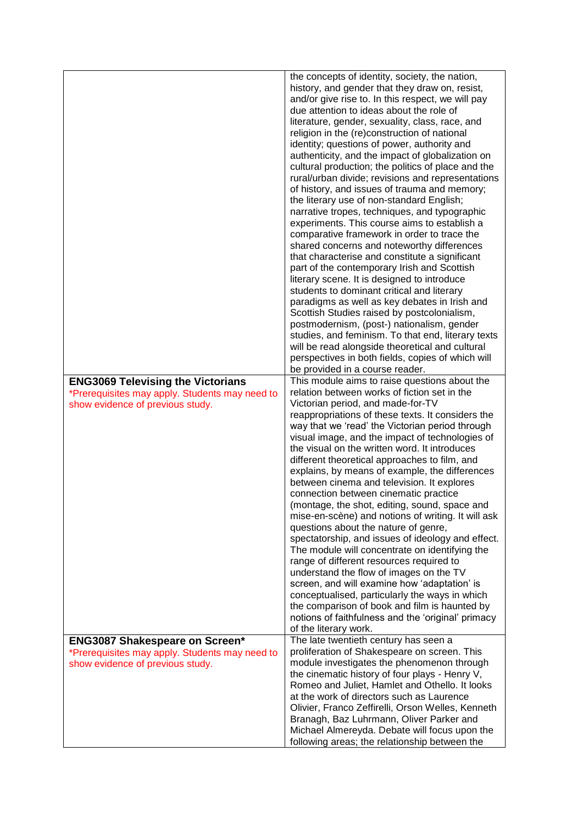|                                                                                    | the concepts of identity, society, the nation,<br>history, and gender that they draw on, resist,<br>and/or give rise to. In this respect, we will pay<br>due attention to ideas about the role of<br>literature, gender, sexuality, class, race, and<br>religion in the (re)construction of national<br>identity; questions of power, authority and<br>authenticity, and the impact of globalization on<br>cultural production; the politics of place and the<br>rural/urban divide; revisions and representations<br>of history, and issues of trauma and memory;<br>the literary use of non-standard English;<br>narrative tropes, techniques, and typographic<br>experiments. This course aims to establish a<br>comparative framework in order to trace the<br>shared concerns and noteworthy differences<br>that characterise and constitute a significant<br>part of the contemporary Irish and Scottish<br>literary scene. It is designed to introduce<br>students to dominant critical and literary<br>paradigms as well as key debates in Irish and<br>Scottish Studies raised by postcolonialism,<br>postmodernism, (post-) nationalism, gender<br>studies, and feminism. To that end, literary texts<br>will be read alongside theoretical and cultural<br>perspectives in both fields, copies of which will<br>be provided in a course reader. |
|------------------------------------------------------------------------------------|------------------------------------------------------------------------------------------------------------------------------------------------------------------------------------------------------------------------------------------------------------------------------------------------------------------------------------------------------------------------------------------------------------------------------------------------------------------------------------------------------------------------------------------------------------------------------------------------------------------------------------------------------------------------------------------------------------------------------------------------------------------------------------------------------------------------------------------------------------------------------------------------------------------------------------------------------------------------------------------------------------------------------------------------------------------------------------------------------------------------------------------------------------------------------------------------------------------------------------------------------------------------------------------------------------------------------------------------------------|
| <b>ENG3069 Televising the Victorians</b>                                           | This module aims to raise questions about the                                                                                                                                                                                                                                                                                                                                                                                                                                                                                                                                                                                                                                                                                                                                                                                                                                                                                                                                                                                                                                                                                                                                                                                                                                                                                                              |
| *Prerequisites may apply. Students may need to<br>show evidence of previous study. | relation between works of fiction set in the<br>Victorian period, and made-for-TV<br>reappropriations of these texts. It considers the<br>way that we 'read' the Victorian period through<br>visual image, and the impact of technologies of<br>the visual on the written word. It introduces<br>different theoretical approaches to film, and<br>explains, by means of example, the differences<br>between cinema and television. It explores<br>connection between cinematic practice<br>(montage, the shot, editing, sound, space and<br>mise-en-scène) and notions of writing. It will ask<br>questions about the nature of genre,<br>spectatorship, and issues of ideology and effect.<br>The module will concentrate on identifying the<br>range of different resources required to<br>understand the flow of images on the TV<br>screen, and will examine how 'adaptation' is<br>conceptualised, particularly the ways in which<br>the comparison of book and film is haunted by<br>notions of faithfulness and the 'original' primacy<br>of the literary work.                                                                                                                                                                                                                                                                                     |
| <b>ENG3087 Shakespeare on Screen*</b>                                              | The late twentieth century has seen a                                                                                                                                                                                                                                                                                                                                                                                                                                                                                                                                                                                                                                                                                                                                                                                                                                                                                                                                                                                                                                                                                                                                                                                                                                                                                                                      |
| *Prerequisites may apply. Students may need to<br>show evidence of previous study. | proliferation of Shakespeare on screen. This<br>module investigates the phenomenon through<br>the cinematic history of four plays - Henry V,<br>Romeo and Juliet, Hamlet and Othello. It looks<br>at the work of directors such as Laurence<br>Olivier, Franco Zeffirelli, Orson Welles, Kenneth<br>Branagh, Baz Luhrmann, Oliver Parker and<br>Michael Almereyda. Debate will focus upon the<br>following areas; the relationship between the                                                                                                                                                                                                                                                                                                                                                                                                                                                                                                                                                                                                                                                                                                                                                                                                                                                                                                             |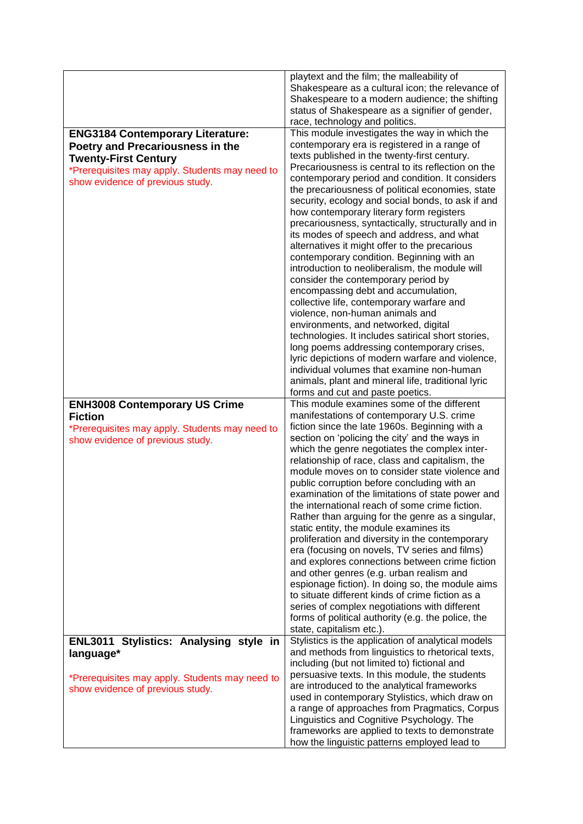|                                                                                                                                                                                                  | playtext and the film; the malleability of<br>Shakespeare as a cultural icon; the relevance of<br>Shakespeare to a modern audience; the shifting<br>status of Shakespeare as a signifier of gender,<br>race, technology and politics.                                                                                                                                                                                                                                                                                                                                                                                                                                                                                                                                                                                                                                                                                                                                                                                                                                                                                                                               |
|--------------------------------------------------------------------------------------------------------------------------------------------------------------------------------------------------|---------------------------------------------------------------------------------------------------------------------------------------------------------------------------------------------------------------------------------------------------------------------------------------------------------------------------------------------------------------------------------------------------------------------------------------------------------------------------------------------------------------------------------------------------------------------------------------------------------------------------------------------------------------------------------------------------------------------------------------------------------------------------------------------------------------------------------------------------------------------------------------------------------------------------------------------------------------------------------------------------------------------------------------------------------------------------------------------------------------------------------------------------------------------|
| <b>ENG3184 Contemporary Literature:</b><br>Poetry and Precariousness in the<br><b>Twenty-First Century</b><br>*Prerequisites may apply. Students may need to<br>show evidence of previous study. | This module investigates the way in which the<br>contemporary era is registered in a range of<br>texts published in the twenty-first century.<br>Precariousness is central to its reflection on the<br>contemporary period and condition. It considers<br>the precariousness of political economies, state<br>security, ecology and social bonds, to ask if and<br>how contemporary literary form registers<br>precariousness, syntactically, structurally and in<br>its modes of speech and address, and what<br>alternatives it might offer to the precarious<br>contemporary condition. Beginning with an<br>introduction to neoliberalism, the module will<br>consider the contemporary period by<br>encompassing debt and accumulation,<br>collective life, contemporary warfare and<br>violence, non-human animals and<br>environments, and networked, digital<br>technologies. It includes satirical short stories,<br>long poems addressing contemporary crises,<br>lyric depictions of modern warfare and violence,<br>individual volumes that examine non-human<br>animals, plant and mineral life, traditional lyric<br>forms and cut and paste poetics. |
| <b>ENH3008 Contemporary US Crime</b><br><b>Fiction</b><br>*Prerequisites may apply. Students may need to<br>show evidence of previous study.                                                     | This module examines some of the different<br>manifestations of contemporary U.S. crime<br>fiction since the late 1960s. Beginning with a<br>section on 'policing the city' and the ways in<br>which the genre negotiates the complex inter-<br>relationship of race, class and capitalism, the<br>module moves on to consider state violence and<br>public corruption before concluding with an<br>examination of the limitations of state power and<br>the international reach of some crime fiction.<br>Rather than arguing for the genre as a singular,<br>static entity, the module examines its<br>proliferation and diversity in the contemporary<br>era (focusing on novels, TV series and films)<br>and explores connections between crime fiction<br>and other genres (e.g. urban realism and<br>espionage fiction). In doing so, the module aims<br>to situate different kinds of crime fiction as a<br>series of complex negotiations with different<br>forms of political authority (e.g. the police, the<br>state, capitalism etc.).                                                                                                                  |
| ENL3011 Stylistics: Analysing style in<br>language*<br>*Prerequisites may apply. Students may need to<br>show evidence of previous study.                                                        | Stylistics is the application of analytical models<br>and methods from linguistics to rhetorical texts,<br>including (but not limited to) fictional and<br>persuasive texts. In this module, the students<br>are introduced to the analytical frameworks<br>used in contemporary Stylistics, which draw on<br>a range of approaches from Pragmatics, Corpus                                                                                                                                                                                                                                                                                                                                                                                                                                                                                                                                                                                                                                                                                                                                                                                                         |
|                                                                                                                                                                                                  | Linguistics and Cognitive Psychology. The<br>frameworks are applied to texts to demonstrate<br>how the linguistic patterns employed lead to                                                                                                                                                                                                                                                                                                                                                                                                                                                                                                                                                                                                                                                                                                                                                                                                                                                                                                                                                                                                                         |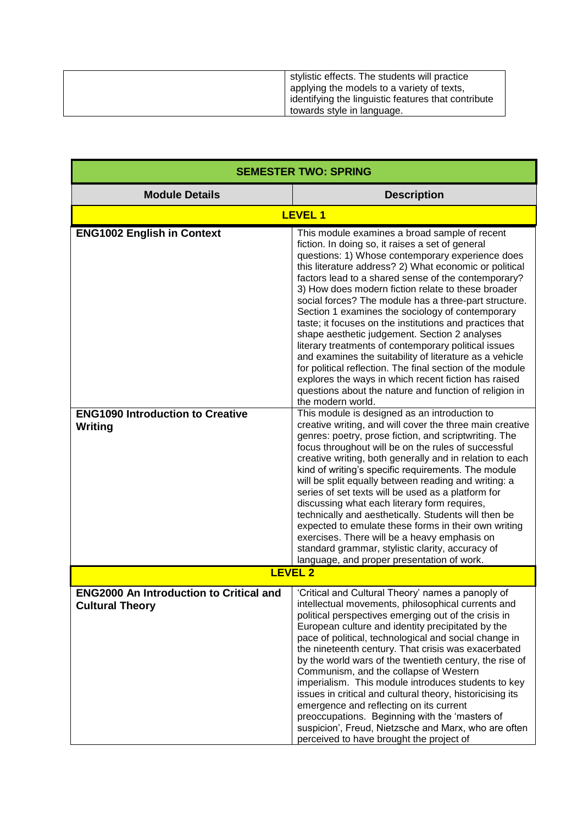| stylistic effects. The students will practice       |
|-----------------------------------------------------|
| applying the models to a variety of texts,          |
| identifying the linguistic features that contribute |
| towards style in language.                          |

| <b>SEMESTER TWO: SPRING</b>                                                             |                                                                                                                                                                                                                                                                                                                                                                                                                                                                                                                                                                                                                                                                                                                                                                                                                                                                                                                                                                                                                                                                                                                                                                                                                                                                                                                                                                                                                                                                                                                                                             |
|-----------------------------------------------------------------------------------------|-------------------------------------------------------------------------------------------------------------------------------------------------------------------------------------------------------------------------------------------------------------------------------------------------------------------------------------------------------------------------------------------------------------------------------------------------------------------------------------------------------------------------------------------------------------------------------------------------------------------------------------------------------------------------------------------------------------------------------------------------------------------------------------------------------------------------------------------------------------------------------------------------------------------------------------------------------------------------------------------------------------------------------------------------------------------------------------------------------------------------------------------------------------------------------------------------------------------------------------------------------------------------------------------------------------------------------------------------------------------------------------------------------------------------------------------------------------------------------------------------------------------------------------------------------------|
| <b>Module Details</b>                                                                   | <b>Description</b>                                                                                                                                                                                                                                                                                                                                                                                                                                                                                                                                                                                                                                                                                                                                                                                                                                                                                                                                                                                                                                                                                                                                                                                                                                                                                                                                                                                                                                                                                                                                          |
|                                                                                         | <b>LEVEL 1</b>                                                                                                                                                                                                                                                                                                                                                                                                                                                                                                                                                                                                                                                                                                                                                                                                                                                                                                                                                                                                                                                                                                                                                                                                                                                                                                                                                                                                                                                                                                                                              |
| <b>ENG1002 English in Context</b><br><b>ENG1090 Introduction to Creative</b><br>Writing | This module examines a broad sample of recent<br>fiction. In doing so, it raises a set of general<br>questions: 1) Whose contemporary experience does<br>this literature address? 2) What economic or political<br>factors lead to a shared sense of the contemporary?<br>3) How does modern fiction relate to these broader<br>social forces? The module has a three-part structure.<br>Section 1 examines the sociology of contemporary<br>taste; it focuses on the institutions and practices that<br>shape aesthetic judgement. Section 2 analyses<br>literary treatments of contemporary political issues<br>and examines the suitability of literature as a vehicle<br>for political reflection. The final section of the module<br>explores the ways in which recent fiction has raised<br>questions about the nature and function of religion in<br>the modern world.<br>This module is designed as an introduction to<br>creative writing, and will cover the three main creative<br>genres: poetry, prose fiction, and scriptwriting. The<br>focus throughout will be on the rules of successful<br>creative writing, both generally and in relation to each<br>kind of writing's specific requirements. The module<br>will be split equally between reading and writing: a<br>series of set texts will be used as a platform for<br>discussing what each literary form requires,<br>technically and aesthetically. Students will then be<br>expected to emulate these forms in their own writing<br>exercises. There will be a heavy emphasis on |
|                                                                                         | standard grammar, stylistic clarity, accuracy of<br>language, and proper presentation of work.                                                                                                                                                                                                                                                                                                                                                                                                                                                                                                                                                                                                                                                                                                                                                                                                                                                                                                                                                                                                                                                                                                                                                                                                                                                                                                                                                                                                                                                              |
|                                                                                         | <b>LEVEL 2</b>                                                                                                                                                                                                                                                                                                                                                                                                                                                                                                                                                                                                                                                                                                                                                                                                                                                                                                                                                                                                                                                                                                                                                                                                                                                                                                                                                                                                                                                                                                                                              |
| <b>ENG2000 An Introduction to Critical and</b><br><b>Cultural Theory</b>                | 'Critical and Cultural Theory' names a panoply of<br>intellectual movements, philosophical currents and<br>political perspectives emerging out of the crisis in<br>European culture and identity precipitated by the<br>pace of political, technological and social change in<br>the nineteenth century. That crisis was exacerbated<br>by the world wars of the twentieth century, the rise of<br>Communism, and the collapse of Western<br>imperialism. This module introduces students to key<br>issues in critical and cultural theory, historicising its<br>emergence and reflecting on its current<br>preoccupations. Beginning with the 'masters of<br>suspicion', Freud, Nietzsche and Marx, who are often<br>perceived to have brought the project of                                                                                                                                                                                                                                                                                                                                                                                                                                                                                                                                                                                                                                                                                                                                                                                              |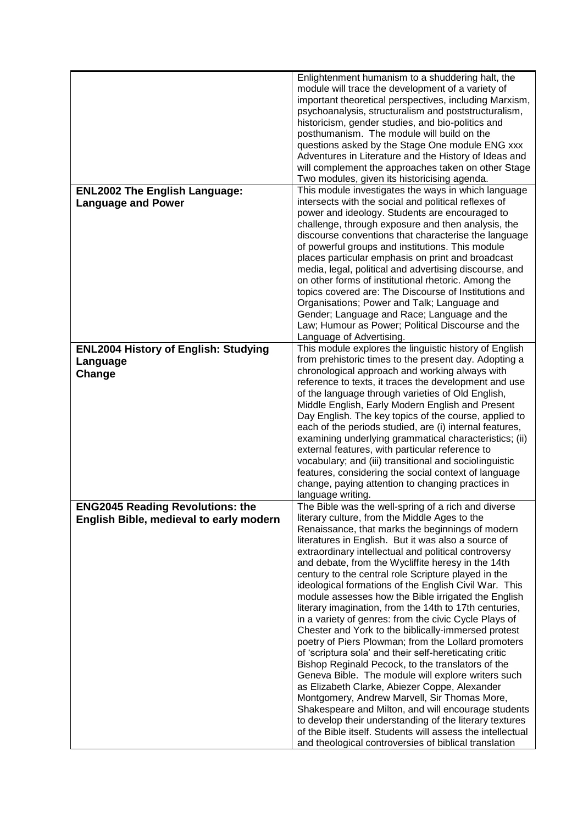|                                                                   | Enlightenment humanism to a shuddering halt, the<br>module will trace the development of a variety of<br>important theoretical perspectives, including Marxism,<br>psychoanalysis, structuralism and poststructuralism,<br>historicism, gender studies, and bio-politics and<br>posthumanism. The module will build on the<br>questions asked by the Stage One module ENG xxx<br>Adventures in Literature and the History of Ideas and<br>will complement the approaches taken on other Stage<br>Two modules, given its historicising agenda. |
|-------------------------------------------------------------------|-----------------------------------------------------------------------------------------------------------------------------------------------------------------------------------------------------------------------------------------------------------------------------------------------------------------------------------------------------------------------------------------------------------------------------------------------------------------------------------------------------------------------------------------------|
| <b>ENL2002 The English Language:</b><br><b>Language and Power</b> | This module investigates the ways in which language<br>intersects with the social and political reflexes of<br>power and ideology. Students are encouraged to                                                                                                                                                                                                                                                                                                                                                                                 |
|                                                                   | challenge, through exposure and then analysis, the<br>discourse conventions that characterise the language                                                                                                                                                                                                                                                                                                                                                                                                                                    |
|                                                                   | of powerful groups and institutions. This module<br>places particular emphasis on print and broadcast<br>media, legal, political and advertising discourse, and<br>on other forms of institutional rhetoric. Among the                                                                                                                                                                                                                                                                                                                        |
|                                                                   | topics covered are: The Discourse of Institutions and<br>Organisations; Power and Talk; Language and                                                                                                                                                                                                                                                                                                                                                                                                                                          |
|                                                                   | Gender; Language and Race; Language and the<br>Law; Humour as Power; Political Discourse and the<br>Language of Advertising.                                                                                                                                                                                                                                                                                                                                                                                                                  |
| <b>ENL2004 History of English: Studying</b>                       | This module explores the linguistic history of English                                                                                                                                                                                                                                                                                                                                                                                                                                                                                        |
| Language                                                          | from prehistoric times to the present day. Adopting a                                                                                                                                                                                                                                                                                                                                                                                                                                                                                         |
| Change                                                            | chronological approach and working always with<br>reference to texts, it traces the development and use                                                                                                                                                                                                                                                                                                                                                                                                                                       |
|                                                                   | of the language through varieties of Old English,                                                                                                                                                                                                                                                                                                                                                                                                                                                                                             |
|                                                                   | Middle English, Early Modern English and Present                                                                                                                                                                                                                                                                                                                                                                                                                                                                                              |
|                                                                   | Day English. The key topics of the course, applied to                                                                                                                                                                                                                                                                                                                                                                                                                                                                                         |
|                                                                   | each of the periods studied, are (i) internal features,<br>examining underlying grammatical characteristics; (ii)                                                                                                                                                                                                                                                                                                                                                                                                                             |
|                                                                   | external features, with particular reference to                                                                                                                                                                                                                                                                                                                                                                                                                                                                                               |
|                                                                   | vocabulary; and (iii) transitional and sociolinguistic                                                                                                                                                                                                                                                                                                                                                                                                                                                                                        |
|                                                                   | features, considering the social context of language                                                                                                                                                                                                                                                                                                                                                                                                                                                                                          |
|                                                                   | change, paying attention to changing practices in<br>language writing.                                                                                                                                                                                                                                                                                                                                                                                                                                                                        |
| <b>ENG2045 Reading Revolutions: the</b>                           |                                                                                                                                                                                                                                                                                                                                                                                                                                                                                                                                               |
| English Bible, medieval to early modern                           | The Bible was the well-spring of a rich and diverse                                                                                                                                                                                                                                                                                                                                                                                                                                                                                           |
|                                                                   | literary culture, from the Middle Ages to the                                                                                                                                                                                                                                                                                                                                                                                                                                                                                                 |
|                                                                   | Renaissance, that marks the beginnings of modern                                                                                                                                                                                                                                                                                                                                                                                                                                                                                              |
|                                                                   | literatures in English. But it was also a source of                                                                                                                                                                                                                                                                                                                                                                                                                                                                                           |
|                                                                   | extraordinary intellectual and political controversy<br>and debate, from the Wycliffite heresy in the 14th                                                                                                                                                                                                                                                                                                                                                                                                                                    |
|                                                                   | century to the central role Scripture played in the                                                                                                                                                                                                                                                                                                                                                                                                                                                                                           |
|                                                                   | ideological formations of the English Civil War. This                                                                                                                                                                                                                                                                                                                                                                                                                                                                                         |
|                                                                   | module assesses how the Bible irrigated the English<br>literary imagination, from the 14th to 17th centuries,                                                                                                                                                                                                                                                                                                                                                                                                                                 |
|                                                                   | in a variety of genres: from the civic Cycle Plays of                                                                                                                                                                                                                                                                                                                                                                                                                                                                                         |
|                                                                   | Chester and York to the biblically-immersed protest                                                                                                                                                                                                                                                                                                                                                                                                                                                                                           |
|                                                                   | poetry of Piers Plowman; from the Lollard promoters<br>of 'scriptura sola' and their self-hereticating critic                                                                                                                                                                                                                                                                                                                                                                                                                                 |
|                                                                   | Bishop Reginald Pecock, to the translators of the                                                                                                                                                                                                                                                                                                                                                                                                                                                                                             |
|                                                                   | Geneva Bible. The module will explore writers such                                                                                                                                                                                                                                                                                                                                                                                                                                                                                            |
|                                                                   | as Elizabeth Clarke, Abiezer Coppe, Alexander                                                                                                                                                                                                                                                                                                                                                                                                                                                                                                 |
|                                                                   | Montgomery, Andrew Marvell, Sir Thomas More,<br>Shakespeare and Milton, and will encourage students                                                                                                                                                                                                                                                                                                                                                                                                                                           |
|                                                                   | to develop their understanding of the literary textures<br>of the Bible itself. Students will assess the intellectual                                                                                                                                                                                                                                                                                                                                                                                                                         |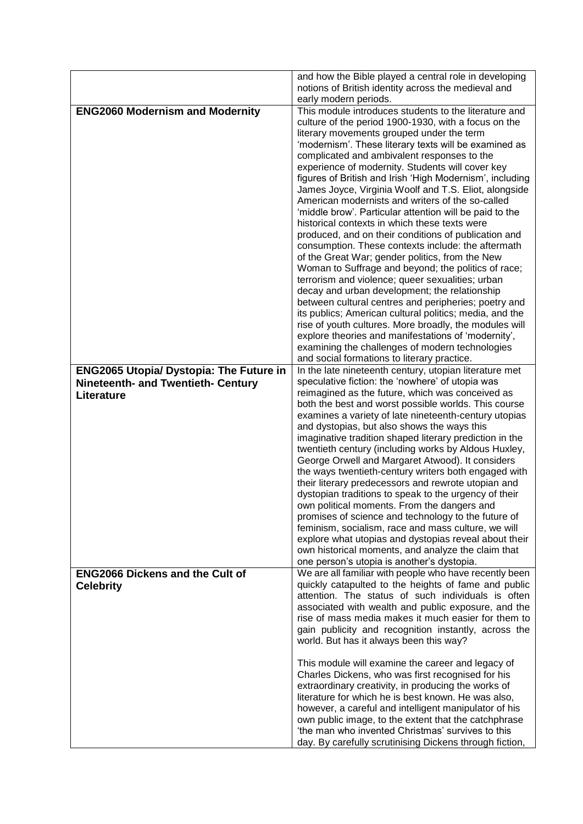|                                                | and how the Bible played a central role in developing                                                             |
|------------------------------------------------|-------------------------------------------------------------------------------------------------------------------|
|                                                | notions of British identity across the medieval and<br>early modern periods.                                      |
| <b>ENG2060 Modernism and Modernity</b>         | This module introduces students to the literature and                                                             |
|                                                | culture of the period 1900-1930, with a focus on the                                                              |
|                                                | literary movements grouped under the term                                                                         |
|                                                | 'modernism'. These literary texts will be examined as                                                             |
|                                                | complicated and ambivalent responses to the<br>experience of modernity. Students will cover key                   |
|                                                | figures of British and Irish 'High Modernism', including                                                          |
|                                                | James Joyce, Virginia Woolf and T.S. Eliot, alongside                                                             |
|                                                | American modernists and writers of the so-called                                                                  |
|                                                | 'middle brow'. Particular attention will be paid to the                                                           |
|                                                | historical contexts in which these texts were                                                                     |
|                                                | produced, and on their conditions of publication and                                                              |
|                                                | consumption. These contexts include: the aftermath<br>of the Great War; gender politics, from the New             |
|                                                | Woman to Suffrage and beyond; the politics of race;                                                               |
|                                                | terrorism and violence; queer sexualities; urban                                                                  |
|                                                | decay and urban development; the relationship                                                                     |
|                                                | between cultural centres and peripheries; poetry and                                                              |
|                                                | its publics; American cultural politics; media, and the<br>rise of youth cultures. More broadly, the modules will |
|                                                | explore theories and manifestations of 'modernity',                                                               |
|                                                | examining the challenges of modern technologies                                                                   |
|                                                | and social formations to literary practice.                                                                       |
| <b>ENG2065 Utopia/ Dystopia: The Future in</b> | In the late nineteenth century, utopian literature met                                                            |
| <b>Nineteenth- and Twentieth- Century</b>      | speculative fiction: the 'nowhere' of utopia was<br>reimagined as the future, which was conceived as              |
| Literature                                     | both the best and worst possible worlds. This course                                                              |
|                                                | examines a variety of late nineteenth-century utopias                                                             |
|                                                | and dystopias, but also shows the ways this                                                                       |
|                                                | imaginative tradition shaped literary prediction in the                                                           |
|                                                | twentieth century (including works by Aldous Huxley,                                                              |
|                                                | George Orwell and Margaret Atwood). It considers<br>the ways twentieth-century writers both engaged with          |
|                                                | their literary predecessors and rewrote utopian and                                                               |
|                                                | dystopian traditions to speak to the urgency of their                                                             |
|                                                | own political moments. From the dangers and                                                                       |
|                                                | promises of science and technology to the future of                                                               |
|                                                | feminism, socialism, race and mass culture, we will<br>explore what utopias and dystopias reveal about their      |
|                                                | own historical moments, and analyze the claim that                                                                |
|                                                | one person's utopia is another's dystopia.                                                                        |
| <b>ENG2066 Dickens and the Cult of</b>         | We are all familiar with people who have recently been                                                            |
| <b>Celebrity</b>                               | quickly catapulted to the heights of fame and public                                                              |
|                                                | attention. The status of such individuals is often<br>associated with wealth and public exposure, and the         |
|                                                | rise of mass media makes it much easier for them to                                                               |
|                                                | gain publicity and recognition instantly, across the                                                              |
|                                                | world. But has it always been this way?                                                                           |
|                                                |                                                                                                                   |
|                                                | This module will examine the career and legacy of<br>Charles Dickens, who was first recognised for his            |
|                                                | extraordinary creativity, in producing the works of                                                               |
|                                                | literature for which he is best known. He was also,                                                               |
|                                                | however, a careful and intelligent manipulator of his                                                             |
|                                                | own public image, to the extent that the catchphrase                                                              |
|                                                | 'the man who invented Christmas' survives to this<br>day. By carefully scrutinising Dickens through fiction,      |
|                                                |                                                                                                                   |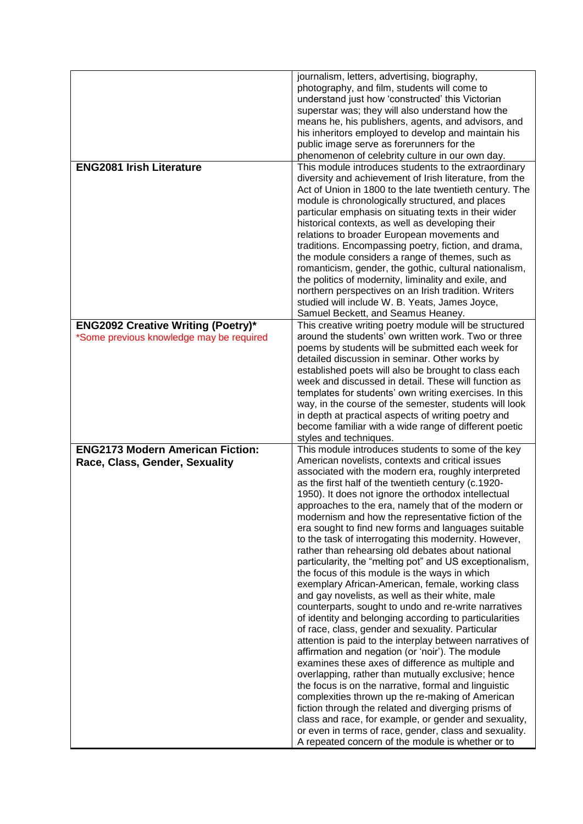| <b>ENG2081 Irish Literature</b>                                           | journalism, letters, advertising, biography,<br>photography, and film, students will come to<br>understand just how 'constructed' this Victorian<br>superstar was; they will also understand how the<br>means he, his publishers, agents, and advisors, and<br>his inheritors employed to develop and maintain his<br>public image serve as forerunners for the<br>phenomenon of celebrity culture in our own day.<br>This module introduces students to the extraordinary                                                                                                                                                                                                                                                                                                                                                                                                                                                                                                                                                                                                                                                                                                                                                                                                                                                                                                                                                                                                                                                     |
|---------------------------------------------------------------------------|--------------------------------------------------------------------------------------------------------------------------------------------------------------------------------------------------------------------------------------------------------------------------------------------------------------------------------------------------------------------------------------------------------------------------------------------------------------------------------------------------------------------------------------------------------------------------------------------------------------------------------------------------------------------------------------------------------------------------------------------------------------------------------------------------------------------------------------------------------------------------------------------------------------------------------------------------------------------------------------------------------------------------------------------------------------------------------------------------------------------------------------------------------------------------------------------------------------------------------------------------------------------------------------------------------------------------------------------------------------------------------------------------------------------------------------------------------------------------------------------------------------------------------|
|                                                                           | diversity and achievement of Irish literature, from the<br>Act of Union in 1800 to the late twentieth century. The<br>module is chronologically structured, and places<br>particular emphasis on situating texts in their wider<br>historical contexts, as well as developing their<br>relations to broader European movements and<br>traditions. Encompassing poetry, fiction, and drama,<br>the module considers a range of themes, such as<br>romanticism, gender, the gothic, cultural nationalism,<br>the politics of modernity, liminality and exile, and<br>northern perspectives on an Irish tradition. Writers<br>studied will include W. B. Yeats, James Joyce,<br>Samuel Beckett, and Seamus Heaney.                                                                                                                                                                                                                                                                                                                                                                                                                                                                                                                                                                                                                                                                                                                                                                                                                |
| <b>ENG2092 Creative Writing (Poetry)*</b>                                 | This creative writing poetry module will be structured                                                                                                                                                                                                                                                                                                                                                                                                                                                                                                                                                                                                                                                                                                                                                                                                                                                                                                                                                                                                                                                                                                                                                                                                                                                                                                                                                                                                                                                                         |
| *Some previous knowledge may be required                                  | around the students' own written work. Two or three<br>poems by students will be submitted each week for<br>detailed discussion in seminar. Other works by<br>established poets will also be brought to class each<br>week and discussed in detail. These will function as<br>templates for students' own writing exercises. In this<br>way, in the course of the semester, students will look<br>in depth at practical aspects of writing poetry and<br>become familiar with a wide range of different poetic<br>styles and techniques.                                                                                                                                                                                                                                                                                                                                                                                                                                                                                                                                                                                                                                                                                                                                                                                                                                                                                                                                                                                       |
| <b>ENG2173 Modern American Fiction:</b><br>Race, Class, Gender, Sexuality | This module introduces students to some of the key<br>American novelists, contexts and critical issues<br>associated with the modern era, roughly interpreted<br>as the first half of the twentieth century (c.1920-<br>1950). It does not ignore the orthodox intellectual<br>approaches to the era, namely that of the modern or<br>modernism and how the representative fiction of the<br>era sought to find new forms and languages suitable<br>to the task of interrogating this modernity. However,<br>rather than rehearsing old debates about national<br>particularity, the "melting pot" and US exceptionalism,<br>the focus of this module is the ways in which<br>exemplary African-American, female, working class<br>and gay novelists, as well as their white, male<br>counterparts, sought to undo and re-write narratives<br>of identity and belonging according to particularities<br>of race, class, gender and sexuality. Particular<br>attention is paid to the interplay between narratives of<br>affirmation and negation (or 'noir'). The module<br>examines these axes of difference as multiple and<br>overlapping, rather than mutually exclusive; hence<br>the focus is on the narrative, formal and linguistic<br>complexities thrown up the re-making of American<br>fiction through the related and diverging prisms of<br>class and race, for example, or gender and sexuality,<br>or even in terms of race, gender, class and sexuality.<br>A repeated concern of the module is whether or to |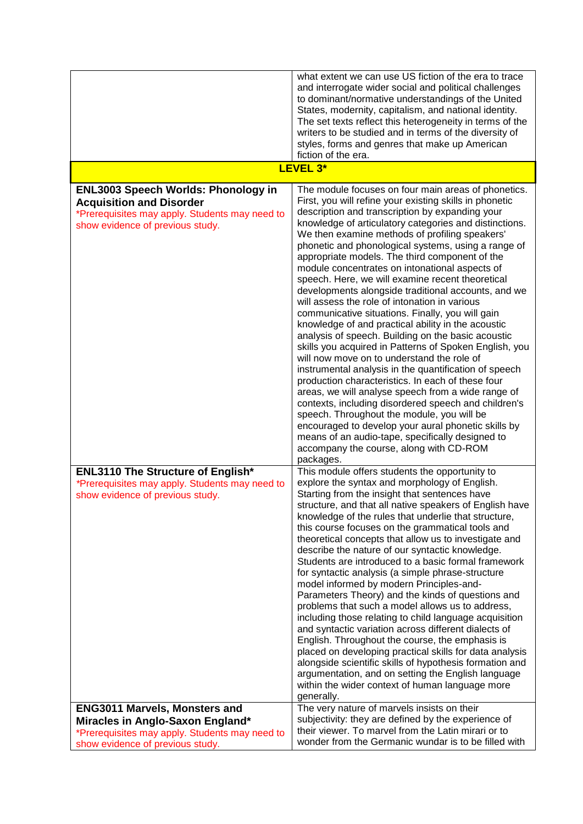|                                                                                                                                                                     | what extent we can use US fiction of the era to trace<br>and interrogate wider social and political challenges<br>to dominant/normative understandings of the United<br>States, modernity, capitalism, and national identity.<br>The set texts reflect this heterogeneity in terms of the<br>writers to be studied and in terms of the diversity of<br>styles, forms and genres that make up American<br>fiction of the era.                                                                                                                                                                                                                                                                                                                                                                                                                                                                                                                                                                                                                                                                                                                                                                                                                                                                                              |
|---------------------------------------------------------------------------------------------------------------------------------------------------------------------|---------------------------------------------------------------------------------------------------------------------------------------------------------------------------------------------------------------------------------------------------------------------------------------------------------------------------------------------------------------------------------------------------------------------------------------------------------------------------------------------------------------------------------------------------------------------------------------------------------------------------------------------------------------------------------------------------------------------------------------------------------------------------------------------------------------------------------------------------------------------------------------------------------------------------------------------------------------------------------------------------------------------------------------------------------------------------------------------------------------------------------------------------------------------------------------------------------------------------------------------------------------------------------------------------------------------------|
|                                                                                                                                                                     | <b>LEVEL 3*</b>                                                                                                                                                                                                                                                                                                                                                                                                                                                                                                                                                                                                                                                                                                                                                                                                                                                                                                                                                                                                                                                                                                                                                                                                                                                                                                           |
| <b>ENL3003 Speech Worlds: Phonology in</b><br><b>Acquisition and Disorder</b><br>*Prerequisites may apply. Students may need to<br>show evidence of previous study. | The module focuses on four main areas of phonetics.<br>First, you will refine your existing skills in phonetic<br>description and transcription by expanding your<br>knowledge of articulatory categories and distinctions.<br>We then examine methods of profiling speakers'<br>phonetic and phonological systems, using a range of<br>appropriate models. The third component of the<br>module concentrates on intonational aspects of<br>speech. Here, we will examine recent theoretical<br>developments alongside traditional accounts, and we<br>will assess the role of intonation in various<br>communicative situations. Finally, you will gain<br>knowledge of and practical ability in the acoustic<br>analysis of speech. Building on the basic acoustic<br>skills you acquired in Patterns of Spoken English, you<br>will now move on to understand the role of<br>instrumental analysis in the quantification of speech<br>production characteristics. In each of these four<br>areas, we will analyse speech from a wide range of<br>contexts, including disordered speech and children's<br>speech. Throughout the module, you will be<br>encouraged to develop your aural phonetic skills by<br>means of an audio-tape, specifically designed to<br>accompany the course, along with CD-ROM<br>packages. |
| <b>ENL3110 The Structure of English*</b><br>*Prerequisites may apply. Students may need to<br>show evidence of previous study.                                      | This module offers students the opportunity to<br>explore the syntax and morphology of English.<br>Starting from the insight that sentences have<br>structure, and that all native speakers of English have<br>knowledge of the rules that underlie that structure,<br>this course focuses on the grammatical tools and<br>theoretical concepts that allow us to investigate and<br>describe the nature of our syntactic knowledge.<br>Students are introduced to a basic formal framework<br>for syntactic analysis (a simple phrase-structure<br>model informed by modern Principles-and-<br>Parameters Theory) and the kinds of questions and<br>problems that such a model allows us to address,<br>including those relating to child language acquisition<br>and syntactic variation across different dialects of<br>English. Throughout the course, the emphasis is<br>placed on developing practical skills for data analysis<br>alongside scientific skills of hypothesis formation and<br>argumentation, and on setting the English language<br>within the wider context of human language more<br>generally.                                                                                                                                                                                                    |
| <b>ENG3011 Marvels, Monsters and</b><br>Miracles in Anglo-Saxon England*<br>*Prerequisites may apply. Students may need to<br>show evidence of previous study.      | The very nature of marvels insists on their<br>subjectivity: they are defined by the experience of<br>their viewer. To marvel from the Latin mirari or to<br>wonder from the Germanic wundar is to be filled with                                                                                                                                                                                                                                                                                                                                                                                                                                                                                                                                                                                                                                                                                                                                                                                                                                                                                                                                                                                                                                                                                                         |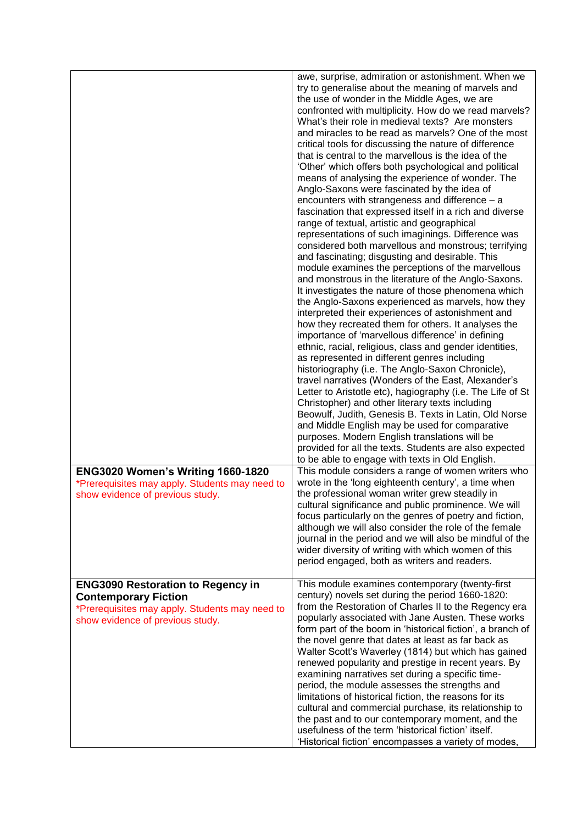|                                                                                                                                                               | awe, surprise, admiration or astonishment. When we<br>try to generalise about the meaning of marvels and<br>the use of wonder in the Middle Ages, we are<br>confronted with multiplicity. How do we read marvels?<br>What's their role in medieval texts? Are monsters<br>and miracles to be read as marvels? One of the most<br>critical tools for discussing the nature of difference<br>that is central to the marvellous is the idea of the<br>'Other' which offers both psychological and political<br>means of analysing the experience of wonder. The<br>Anglo-Saxons were fascinated by the idea of<br>encounters with strangeness and difference - a<br>fascination that expressed itself in a rich and diverse<br>range of textual, artistic and geographical<br>representations of such imaginings. Difference was<br>considered both marvellous and monstrous; terrifying<br>and fascinating; disgusting and desirable. This<br>module examines the perceptions of the marvellous<br>and monstrous in the literature of the Anglo-Saxons.<br>It investigates the nature of those phenomena which<br>the Anglo-Saxons experienced as marvels, how they<br>interpreted their experiences of astonishment and<br>how they recreated them for others. It analyses the<br>importance of 'marvellous difference' in defining<br>ethnic, racial, religious, class and gender identities,<br>as represented in different genres including<br>historiography (i.e. The Anglo-Saxon Chronicle),<br>travel narratives (Wonders of the East, Alexander's<br>Letter to Aristotle etc), hagiography (i.e. The Life of St<br>Christopher) and other literary texts including<br>Beowulf, Judith, Genesis B. Texts in Latin, Old Norse<br>and Middle English may be used for comparative<br>purposes. Modern English translations will be<br>provided for all the texts. Students are also expected<br>to be able to engage with texts in Old English. |
|---------------------------------------------------------------------------------------------------------------------------------------------------------------|----------------------------------------------------------------------------------------------------------------------------------------------------------------------------------------------------------------------------------------------------------------------------------------------------------------------------------------------------------------------------------------------------------------------------------------------------------------------------------------------------------------------------------------------------------------------------------------------------------------------------------------------------------------------------------------------------------------------------------------------------------------------------------------------------------------------------------------------------------------------------------------------------------------------------------------------------------------------------------------------------------------------------------------------------------------------------------------------------------------------------------------------------------------------------------------------------------------------------------------------------------------------------------------------------------------------------------------------------------------------------------------------------------------------------------------------------------------------------------------------------------------------------------------------------------------------------------------------------------------------------------------------------------------------------------------------------------------------------------------------------------------------------------------------------------------------------------------------------------------------------------------------------------------------------------------------------|
| <b>ENG3020 Women's Writing 1660-1820</b><br>*Prerequisites may apply. Students may need to<br>show evidence of previous study.                                | This module considers a range of women writers who<br>wrote in the 'long eighteenth century', a time when<br>the professional woman writer grew steadily in<br>cultural significance and public prominence. We will<br>focus particularly on the genres of poetry and fiction,<br>although we will also consider the role of the female<br>journal in the period and we will also be mindful of the<br>wider diversity of writing with which women of this<br>period engaged, both as writers and readers.                                                                                                                                                                                                                                                                                                                                                                                                                                                                                                                                                                                                                                                                                                                                                                                                                                                                                                                                                                                                                                                                                                                                                                                                                                                                                                                                                                                                                                         |
| <b>ENG3090 Restoration to Regency in</b><br><b>Contemporary Fiction</b><br>*Prerequisites may apply. Students may need to<br>show evidence of previous study. | This module examines contemporary (twenty-first<br>century) novels set during the period 1660-1820:<br>from the Restoration of Charles II to the Regency era<br>popularly associated with Jane Austen. These works<br>form part of the boom in 'historical fiction', a branch of<br>the novel genre that dates at least as far back as<br>Walter Scott's Waverley (1814) but which has gained<br>renewed popularity and prestige in recent years. By<br>examining narratives set during a specific time-<br>period, the module assesses the strengths and<br>limitations of historical fiction, the reasons for its<br>cultural and commercial purchase, its relationship to<br>the past and to our contemporary moment, and the<br>usefulness of the term 'historical fiction' itself.<br>'Historical fiction' encompasses a variety of modes,                                                                                                                                                                                                                                                                                                                                                                                                                                                                                                                                                                                                                                                                                                                                                                                                                                                                                                                                                                                                                                                                                                    |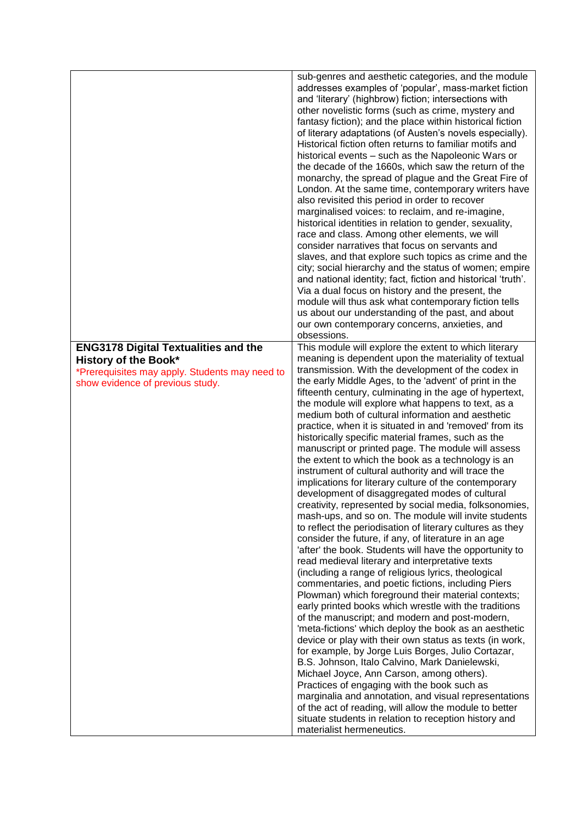|                                                                                                                                                           | sub-genres and aesthetic categories, and the module<br>addresses examples of 'popular', mass-market fiction<br>and 'literary' (highbrow) fiction; intersections with<br>other novelistic forms (such as crime, mystery and<br>fantasy fiction); and the place within historical fiction<br>of literary adaptations (of Austen's novels especially).<br>Historical fiction often returns to familiar motifs and<br>historical events - such as the Napoleonic Wars or<br>the decade of the 1660s, which saw the return of the<br>monarchy, the spread of plague and the Great Fire of<br>London. At the same time, contemporary writers have<br>also revisited this period in order to recover<br>marginalised voices: to reclaim, and re-imagine,<br>historical identities in relation to gender, sexuality,<br>race and class. Among other elements, we will<br>consider narratives that focus on servants and<br>slaves, and that explore such topics as crime and the<br>city; social hierarchy and the status of women; empire<br>and national identity; fact, fiction and historical 'truth'.<br>Via a dual focus on history and the present, the<br>module will thus ask what contemporary fiction tells<br>us about our understanding of the past, and about<br>our own contemporary concerns, anxieties, and<br>obsessions.                                                                                                                                                                                                                                                                                                                                                                                                                                                                                                                                                                                                                                    |
|-----------------------------------------------------------------------------------------------------------------------------------------------------------|------------------------------------------------------------------------------------------------------------------------------------------------------------------------------------------------------------------------------------------------------------------------------------------------------------------------------------------------------------------------------------------------------------------------------------------------------------------------------------------------------------------------------------------------------------------------------------------------------------------------------------------------------------------------------------------------------------------------------------------------------------------------------------------------------------------------------------------------------------------------------------------------------------------------------------------------------------------------------------------------------------------------------------------------------------------------------------------------------------------------------------------------------------------------------------------------------------------------------------------------------------------------------------------------------------------------------------------------------------------------------------------------------------------------------------------------------------------------------------------------------------------------------------------------------------------------------------------------------------------------------------------------------------------------------------------------------------------------------------------------------------------------------------------------------------------------------------------------------------------------------------------------------------------------------------------------------------------------|
| <b>ENG3178 Digital Textualities and the</b><br>History of the Book*<br>*Prerequisites may apply. Students may need to<br>show evidence of previous study. | This module will explore the extent to which literary<br>meaning is dependent upon the materiality of textual<br>transmission. With the development of the codex in<br>the early Middle Ages, to the 'advent' of print in the<br>fifteenth century, culminating in the age of hypertext,<br>the module will explore what happens to text, as a<br>medium both of cultural information and aesthetic<br>practice, when it is situated in and 'removed' from its<br>historically specific material frames, such as the<br>manuscript or printed page. The module will assess<br>the extent to which the book as a technology is an<br>instrument of cultural authority and will trace the<br>implications for literary culture of the contemporary<br>development of disaggregated modes of cultural<br>creativity, represented by social media, folksonomies,<br>mash-ups, and so on. The module will invite students<br>to reflect the periodisation of literary cultures as they<br>consider the future, if any, of literature in an age<br>'after' the book. Students will have the opportunity to<br>read medieval literary and interpretative texts<br>(including a range of religious lyrics, theological<br>commentaries, and poetic fictions, including Piers<br>Plowman) which foreground their material contexts;<br>early printed books which wrestle with the traditions<br>of the manuscript; and modern and post-modern,<br>'meta-fictions' which deploy the book as an aesthetic<br>device or play with their own status as texts (in work,<br>for example, by Jorge Luis Borges, Julio Cortazar,<br>B.S. Johnson, Italo Calvino, Mark Danielewski,<br>Michael Joyce, Ann Carson, among others).<br>Practices of engaging with the book such as<br>marginalia and annotation, and visual representations<br>of the act of reading, will allow the module to better<br>situate students in relation to reception history and<br>materialist hermeneutics. |